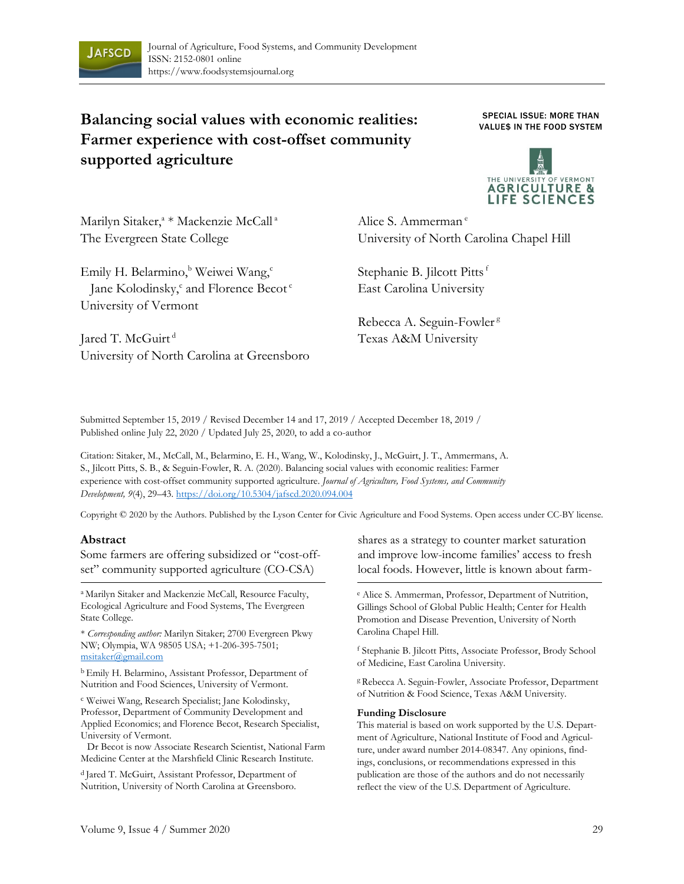

# **Balancing social values with economic realities: Farmer experience with cost-offset community supported agriculture**

SPECIAL ISSUE: MORE THAN VALUE\$ IN THE FOOD SYSTEM



Marilyn Sitaker,<sup>a</sup> \* Mackenzie McCall<sup>a</sup> The Evergreen State College

Emily H. Belarmino,<sup>b</sup> Weiwei Wang,<sup>c</sup> Jane Kolodinsky,<sup>c</sup> and Florence Becot<sup>c</sup> University of Vermont

Alice S. Ammerman<sup>e</sup> University of North Carolina Chapel Hill

Stephanie B. Jilcott Pitts f East Carolina University

Rebecca A. Seguin-Fowler<sup>g</sup> Texas A&M University

Jared T. McGuirt<sup>d</sup> University of North Carolina at Greensboro

Submitted September 15, 2019 / Revised December 14 and 17, 2019 / Accepted December 18, 2019 / Published online July 22, 2020 / Updated July 25, 2020, to add a co-author

Citation: Sitaker, M., McCall, M., Belarmino, E. H., Wang, W., Kolodinsky, J., McGuirt, J. T., Ammermans, A. S., Jilcott Pitts, S. B., & Seguin-Fowler, R. A. (2020). Balancing social values with economic realities: Farmer experience with cost-offset community supported agriculture. *Journal of Agriculture, Food Systems, and Community Development, 9*(4), 29–43. https://doi.org/10.5304/jafscd.2020.094.004

Copyright © 2020 by the Authors. Published by the Lyson Center for Civic Agriculture and Food Systems. Open access under CC-BY license.

#### **Abstract**

Some farmers are offering subsidized or "cost-offset" community supported agriculture (CO-CSA)

a Marilyn Sitaker and Mackenzie McCall, Resource Faculty, Ecological Agriculture and Food Systems, The Evergreen State College.

\* *Corresponding author:* Marilyn Sitaker; 2700 Evergreen Pkwy NW; Olympia, WA 98505 USA; +1-206-395-7501; msitaker@gmail.com

b Emily H. Belarmino, Assistant Professor, Department of Nutrition and Food Sciences, University of Vermont.

<sup>c</sup> Weiwei Wang, Research Specialist; Jane Kolodinsky, Professor, Department of Community Development and Applied Economics; and Florence Becot, Research Specialist, University of Vermont.

Dr Becot is now Associate Research Scientist, National Farm Medicine Center at the Marshfield Clinic Research Institute.

<sup>d</sup> Jared T. McGuirt, Assistant Professor, Department of Nutrition, University of North Carolina at Greensboro.

shares as a strategy to counter market saturation and improve low-income families' access to fresh local foods. However, little is known about farm-

e Alice S. Ammerman, Professor, Department of Nutrition, Gillings School of Global Public Health; Center for Health Promotion and Disease Prevention, University of North Carolina Chapel Hill.

f Stephanie B. Jilcott Pitts, Associate Professor, Brody School of Medicine, East Carolina University.

<sup>g</sup> Rebecca A. Seguin-Fowler, Associate Professor, Department of Nutrition & Food Science, Texas A&M University.

#### **Funding Disclosure**

This material is based on work supported by the U.S. Department of Agriculture, National Institute of Food and Agriculture, under award number 2014-08347. Any opinions, findings, conclusions, or recommendations expressed in this publication are those of the authors and do not necessarily reflect the view of the U.S. Department of Agriculture.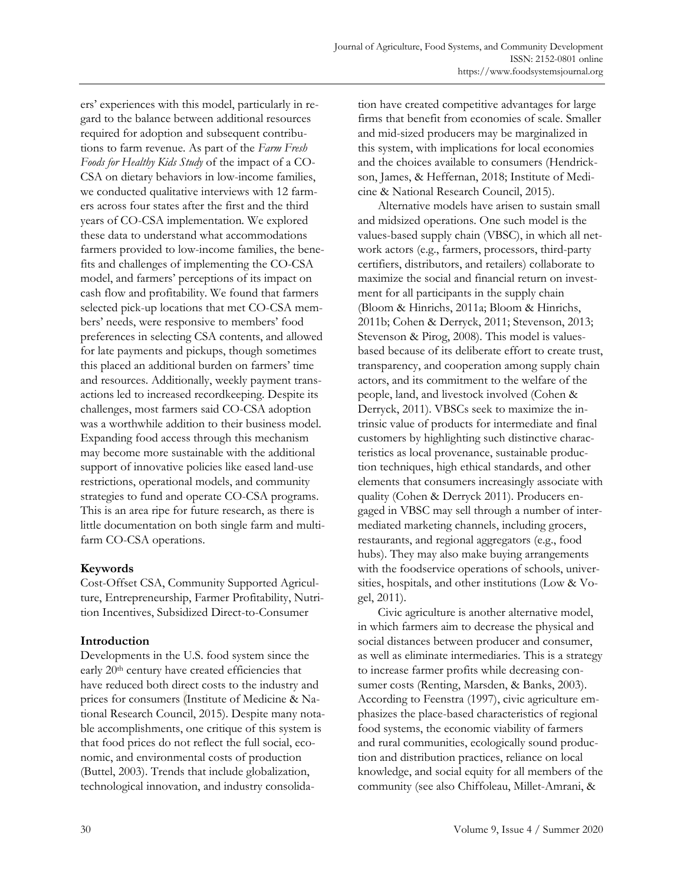ers' experiences with this model, particularly in regard to the balance between additional resources required for adoption and subsequent contributions to farm revenue. As part of the *Farm Fresh Foods for Healthy Kids Study* of the impact of a CO-CSA on dietary behaviors in low-income families, we conducted qualitative interviews with 12 farmers across four states after the first and the third years of CO-CSA implementation*.* We explored these data to understand what accommodations farmers provided to low-income families, the benefits and challenges of implementing the CO-CSA model, and farmers' perceptions of its impact on cash flow and profitability. We found that farmers selected pick-up locations that met CO-CSA members' needs, were responsive to members' food preferences in selecting CSA contents, and allowed for late payments and pickups, though sometimes this placed an additional burden on farmers' time and resources. Additionally, weekly payment transactions led to increased recordkeeping. Despite its challenges, most farmers said CO-CSA adoption was a worthwhile addition to their business model. Expanding food access through this mechanism may become more sustainable with the additional support of innovative policies like eased land-use restrictions, operational models, and community strategies to fund and operate CO-CSA programs. This is an area ripe for future research, as there is little documentation on both single farm and multifarm CO-CSA operations.

# **Keywords**

Cost-Offset CSA, Community Supported Agriculture, Entrepreneurship, Farmer Profitability, Nutrition Incentives, Subsidized Direct-to-Consumer

# **Introduction**

Developments in the U.S. food system since the early 20<sup>th</sup> century have created efficiencies that have reduced both direct costs to the industry and prices for consumers (Institute of Medicine & National Research Council, 2015). Despite many notable accomplishments, one critique of this system is that food prices do not reflect the full social, economic, and environmental costs of production (Buttel, 2003). Trends that include globalization, technological innovation, and industry consolidation have created competitive advantages for large firms that benefit from economies of scale. Smaller and mid-sized producers may be marginalized in this system, with implications for local economies and the choices available to consumers (Hendrickson, James, & Heffernan, 2018; Institute of Medicine & National Research Council, 2015).

 Alternative models have arisen to sustain small and midsized operations. One such model is the values-based supply chain (VBSC), in which all network actors (e.g., farmers, processors, third-party certifiers, distributors, and retailers) collaborate to maximize the social and financial return on investment for all participants in the supply chain (Bloom & Hinrichs, 2011a; Bloom & Hinrichs, 2011b; Cohen & Derryck, 2011; Stevenson, 2013; Stevenson & Pirog, 2008). This model is valuesbased because of its deliberate effort to create trust, transparency, and cooperation among supply chain actors, and its commitment to the welfare of the people, land, and livestock involved (Cohen & Derryck, 2011). VBSCs seek to maximize the intrinsic value of products for intermediate and final customers by highlighting such distinctive characteristics as local provenance, sustainable production techniques, high ethical standards, and other elements that consumers increasingly associate with quality (Cohen & Derryck 2011). Producers engaged in VBSC may sell through a number of intermediated marketing channels, including grocers, restaurants, and regional aggregators (e.g., food hubs). They may also make buying arrangements with the foodservice operations of schools, universities, hospitals, and other institutions (Low & Vogel, 2011).

 Civic agriculture is another alternative model, in which farmers aim to decrease the physical and social distances between producer and consumer, as well as eliminate intermediaries. This is a strategy to increase farmer profits while decreasing consumer costs (Renting, Marsden, & Banks, 2003). According to Feenstra (1997), civic agriculture emphasizes the place-based characteristics of regional food systems, the economic viability of farmers and rural communities, ecologically sound production and distribution practices, reliance on local knowledge, and social equity for all members of the community (see also Chiffoleau, Millet-Amrani, &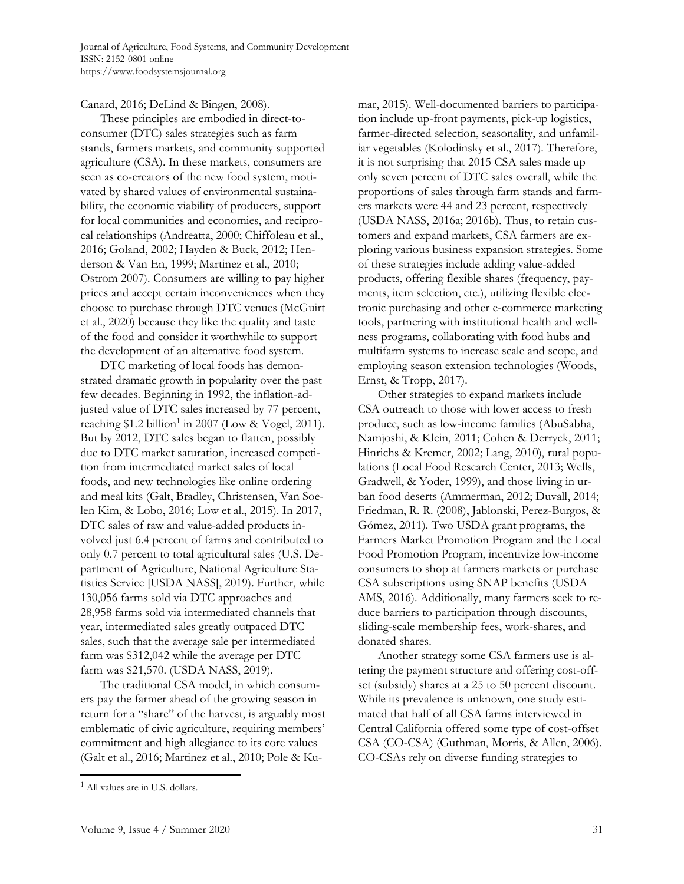Canard, 2016; DeLind & Bingen, 2008).

 These principles are embodied in direct-toconsumer (DTC) sales strategies such as farm stands, farmers markets, and community supported agriculture (CSA). In these markets, consumers are seen as co-creators of the new food system, motivated by shared values of environmental sustainability, the economic viability of producers, support for local communities and economies, and reciprocal relationships (Andreatta, 2000; Chiffoleau et al., 2016; Goland, 2002; Hayden & Buck, 2012; Henderson & Van En, 1999; Martinez et al., 2010; Ostrom 2007). Consumers are willing to pay higher prices and accept certain inconveniences when they choose to purchase through DTC venues (McGuirt et al., 2020) because they like the quality and taste of the food and consider it worthwhile to support the development of an alternative food system.

 DTC marketing of local foods has demonstrated dramatic growth in popularity over the past few decades. Beginning in 1992, the inflation-adjusted value of DTC sales increased by 77 percent, reaching \$1.2 billion<sup>1</sup> in 2007 (Low & Vogel, 2011). But by 2012, DTC sales began to flatten, possibly due to DTC market saturation, increased competition from intermediated market sales of local foods, and new technologies like online ordering and meal kits (Galt, Bradley, Christensen, Van Soelen Kim, & Lobo, 2016; Low et al., 2015). In 2017, DTC sales of raw and value-added products involved just 6.4 percent of farms and contributed to only 0.7 percent to total agricultural sales (U.S. Department of Agriculture, National Agriculture Statistics Service [USDA NASS], 2019). Further, while 130,056 farms sold via DTC approaches and 28,958 farms sold via intermediated channels that year, intermediated sales greatly outpaced DTC sales, such that the average sale per intermediated farm was \$312,042 while the average per DTC farm was \$21,570. (USDA NASS, 2019).

 The traditional CSA model, in which consumers pay the farmer ahead of the growing season in return for a "share" of the harvest, is arguably most emblematic of civic agriculture, requiring members' commitment and high allegiance to its core values (Galt et al., 2016; Martinez et al., 2010; Pole & Kumar, 2015). Well-documented barriers to participation include up-front payments, pick-up logistics, farmer-directed selection, seasonality, and unfamiliar vegetables (Kolodinsky et al., 2017). Therefore, it is not surprising that 2015 CSA sales made up only seven percent of DTC sales overall, while the proportions of sales through farm stands and farmers markets were 44 and 23 percent, respectively (USDA NASS, 2016a; 2016b). Thus, to retain customers and expand markets, CSA farmers are exploring various business expansion strategies. Some of these strategies include adding value-added products, offering flexible shares (frequency, payments, item selection, etc.), utilizing flexible electronic purchasing and other e-commerce marketing tools, partnering with institutional health and wellness programs, collaborating with food hubs and multifarm systems to increase scale and scope, and employing season extension technologies (Woods, Ernst, & Tropp, 2017).

 Other strategies to expand markets include CSA outreach to those with lower access to fresh produce, such as low-income families (AbuSabha, Namjoshi, & Klein, 2011; Cohen & Derryck, 2011; Hinrichs & Kremer, 2002; Lang, 2010), rural populations (Local Food Research Center, 2013; Wells, Gradwell, & Yoder, 1999), and those living in urban food deserts (Ammerman, 2012; Duvall, 2014; Friedman, R. R. (2008), Jablonski, Perez-Burgos, & Gómez, 2011). Two USDA grant programs, the Farmers Market Promotion Program and the Local Food Promotion Program, incentivize low-income consumers to shop at farmers markets or purchase CSA subscriptions using SNAP benefits (USDA AMS, 2016). Additionally, many farmers seek to reduce barriers to participation through discounts, sliding-scale membership fees, work-shares, and donated shares.

 Another strategy some CSA farmers use is altering the payment structure and offering cost-offset (subsidy) shares at a 25 to 50 percent discount. While its prevalence is unknown, one study estimated that half of all CSA farms interviewed in Central California offered some type of cost-offset CSA (CO-CSA) (Guthman, Morris, & Allen, 2006). CO-CSAs rely on diverse funding strategies to

<sup>1</sup> All values are in U.S. dollars.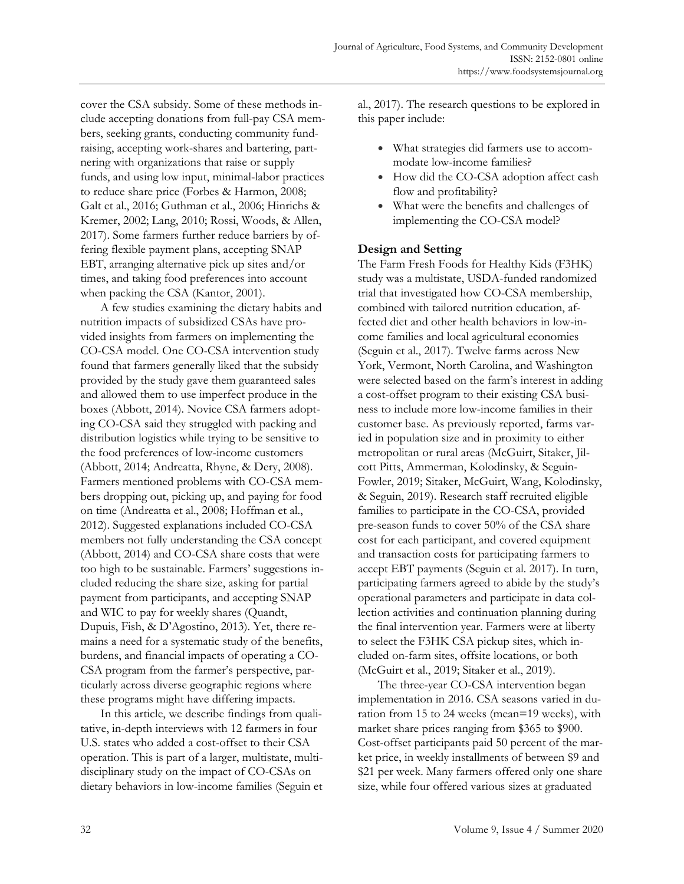cover the CSA subsidy. Some of these methods include accepting donations from full-pay CSA members, seeking grants, conducting community fundraising, accepting work-shares and bartering, partnering with organizations that raise or supply funds, and using low input, minimal-labor practices to reduce share price (Forbes & Harmon, 2008; Galt et al., 2016; Guthman et al., 2006; Hinrichs & Kremer, 2002; Lang, 2010; Rossi, Woods, & Allen, 2017). Some farmers further reduce barriers by offering flexible payment plans, accepting SNAP EBT, arranging alternative pick up sites and/or times, and taking food preferences into account when packing the CSA (Kantor, 2001).

 A few studies examining the dietary habits and nutrition impacts of subsidized CSAs have provided insights from farmers on implementing the CO-CSA model. One CO-CSA intervention study found that farmers generally liked that the subsidy provided by the study gave them guaranteed sales and allowed them to use imperfect produce in the boxes (Abbott, 2014). Novice CSA farmers adopting CO-CSA said they struggled with packing and distribution logistics while trying to be sensitive to the food preferences of low-income customers (Abbott, 2014; Andreatta, Rhyne, & Dery, 2008). Farmers mentioned problems with CO-CSA members dropping out, picking up, and paying for food on time (Andreatta et al., 2008; Hoffman et al., 2012). Suggested explanations included CO-CSA members not fully understanding the CSA concept (Abbott, 2014) and CO-CSA share costs that were too high to be sustainable. Farmers' suggestions included reducing the share size, asking for partial payment from participants, and accepting SNAP and WIC to pay for weekly shares (Quandt, Dupuis, Fish, & D'Agostino, 2013). Yet, there remains a need for a systematic study of the benefits, burdens, and financial impacts of operating a CO-CSA program from the farmer's perspective, particularly across diverse geographic regions where these programs might have differing impacts.

 In this article, we describe findings from qualitative, in-depth interviews with 12 farmers in four U.S. states who added a cost-offset to their CSA operation. This is part of a larger, multistate, multidisciplinary study on the impact of CO-CSAs on dietary behaviors in low-income families (Seguin et al., 2017). The research questions to be explored in this paper include:

- What strategies did farmers use to accommodate low-income families?
- How did the CO-CSA adoption affect cash flow and profitability?
- What were the benefits and challenges of implementing the CO-CSA model?

# **Design and Setting**

The Farm Fresh Foods for Healthy Kids (F3HK) study was a multistate, USDA-funded randomized trial that investigated how CO-CSA membership, combined with tailored nutrition education, affected diet and other health behaviors in low-income families and local agricultural economies (Seguin et al., 2017). Twelve farms across New York, Vermont, North Carolina, and Washington were selected based on the farm's interest in adding a cost-offset program to their existing CSA business to include more low-income families in their customer base. As previously reported, farms varied in population size and in proximity to either metropolitan or rural areas (McGuirt, Sitaker, Jilcott Pitts, Ammerman, Kolodinsky, & Seguin-Fowler, 2019; Sitaker, McGuirt, Wang, Kolodinsky, & Seguin, 2019). Research staff recruited eligible families to participate in the CO-CSA, provided pre-season funds to cover 50% of the CSA share cost for each participant, and covered equipment and transaction costs for participating farmers to accept EBT payments (Seguin et al. 2017). In turn, participating farmers agreed to abide by the study's operational parameters and participate in data collection activities and continuation planning during the final intervention year. Farmers were at liberty to select the F3HK CSA pickup sites, which included on-farm sites, offsite locations, or both (McGuirt et al., 2019; Sitaker et al., 2019).

 The three-year CO-CSA intervention began implementation in 2016. CSA seasons varied in duration from 15 to 24 weeks (mean=19 weeks), with market share prices ranging from \$365 to \$900. Cost-offset participants paid 50 percent of the market price, in weekly installments of between \$9 and \$21 per week. Many farmers offered only one share size, while four offered various sizes at graduated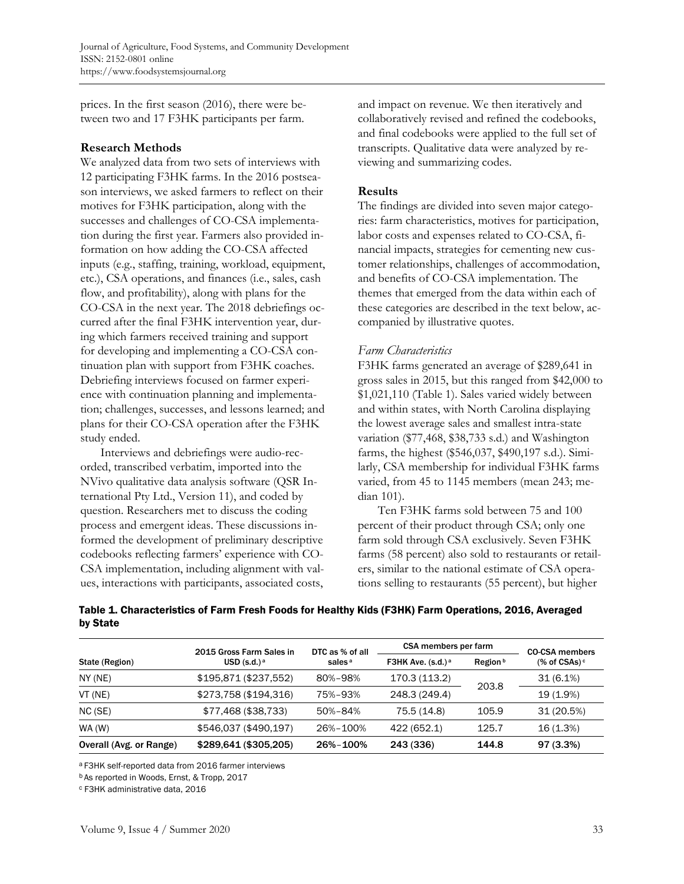prices. In the first season (2016), there were between two and 17 F3HK participants per farm.

#### **Research Methods**

We analyzed data from two sets of interviews with 12 participating F3HK farms. In the 2016 postseason interviews, we asked farmers to reflect on their motives for F3HK participation, along with the successes and challenges of CO-CSA implementation during the first year. Farmers also provided information on how adding the CO-CSA affected inputs (e.g., staffing, training, workload, equipment, etc.), CSA operations, and finances (i.e., sales, cash flow, and profitability), along with plans for the CO-CSA in the next year. The 2018 debriefings occurred after the final F3HK intervention year, during which farmers received training and support for developing and implementing a CO-CSA continuation plan with support from F3HK coaches. Debriefing interviews focused on farmer experience with continuation planning and implementation; challenges, successes, and lessons learned; and plans for their CO-CSA operation after the F3HK study ended.

 Interviews and debriefings were audio-recorded, transcribed verbatim, imported into the NVivo qualitative data analysis software (QSR International Pty Ltd., Version 11), and coded by question. Researchers met to discuss the coding process and emergent ideas. These discussions informed the development of preliminary descriptive codebooks reflecting farmers' experience with CO-CSA implementation, including alignment with values, interactions with participants, associated costs,

and impact on revenue. We then iteratively and collaboratively revised and refined the codebooks, and final codebooks were applied to the full set of transcripts. Qualitative data were analyzed by reviewing and summarizing codes.

## **Results**

The findings are divided into seven major categories: farm characteristics, motives for participation, labor costs and expenses related to CO-CSA, financial impacts, strategies for cementing new customer relationships, challenges of accommodation, and benefits of CO-CSA implementation. The themes that emerged from the data within each of these categories are described in the text below, accompanied by illustrative quotes.

# *Farm Characteristics*

F3HK farms generated an average of \$289,641 in gross sales in 2015, but this ranged from \$42,000 to \$1,021,110 (Table 1). Sales varied widely between and within states, with North Carolina displaying the lowest average sales and smallest intra-state variation (\$77,468, \$38,733 s.d.) and Washington farms, the highest (\$546,037, \$490,197 s.d.). Similarly, CSA membership for individual F3HK farms varied, from 45 to 1145 members (mean 243; median 101).

 Ten F3HK farms sold between 75 and 100 percent of their product through CSA; only one farm sold through CSA exclusively. Seven F3HK farms (58 percent) also sold to restaurants or retailers, similar to the national estimate of CSA operations selling to restaurants (55 percent), but higher

|                         | 2015 Gross Farm Sales in | DTC as % of all<br>sales <sup>a</sup> | CSA members per farm |          | <b>CO-CSA members</b> |
|-------------------------|--------------------------|---------------------------------------|----------------------|----------|-----------------------|
| State (Region)          | USD $(s.d.)^a$           |                                       | F3HK Ave. $(s.d.)^a$ | Region b | $%$ of CSAs) $c$      |
| NY(NE)                  | \$195,871 (\$237,552)    | 80%-98%                               | 170.3 (113.2)        |          | 31(6.1%)              |
| VT (NE)                 | \$273,758 (\$194,316)    | 75%-93%                               | 248.3 (249.4)        | 203.8    | 19 (1.9%)             |
| NC(SE)                  | \$77,468 (\$38,733)      | 50%-84%                               | 75.5 (14.8)          | 105.9    | 31 (20.5%)            |
| WA(W)                   | \$546,037 (\$490,197)    | 26%-100%                              | 422 (652.1)          | 125.7    | 16 (1.3%)             |
| Overall (Avg. or Range) | \$289,641 (\$305,205)    | 26%-100%                              | 243 (336)            | 144.8    | 97(3.3%)              |

Table 1. Characteristics of Farm Fresh Foods for Healthy Kids (F3HK) Farm Operations, 2016, Averaged by State

a F3HK self-reported data from 2016 farmer interviews

b As reported in Woods, Ernst, & Tropp, 2017

c F3HK administrative data, 2016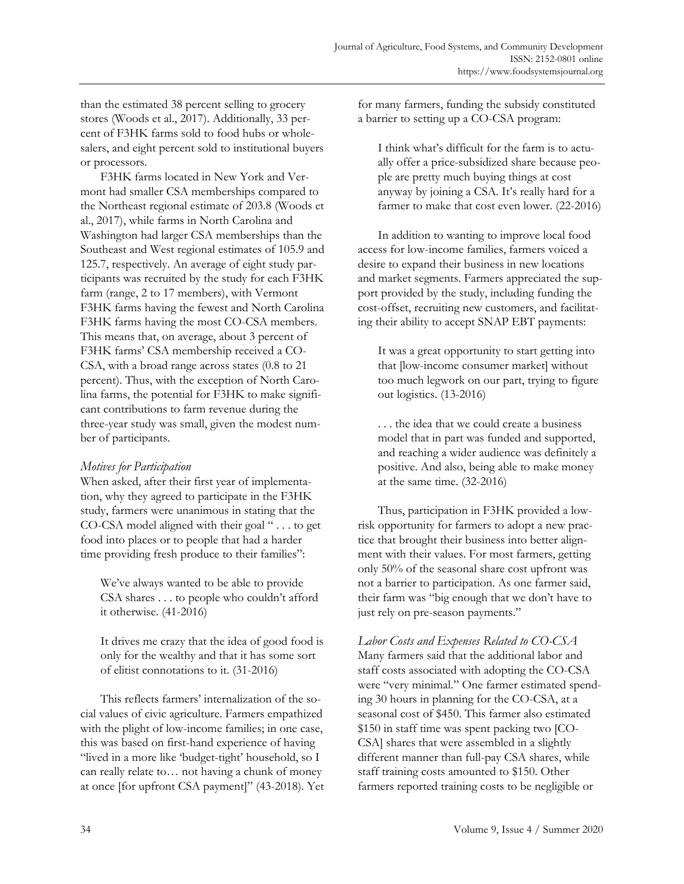than the estimated 38 percent selling to grocery stores (Woods et al., 2017). Additionally, 33 percent of F3HK farms sold to food hubs or wholesalers, and eight percent sold to institutional buyers or processors.

 F3HK farms located in New York and Vermont had smaller CSA memberships compared to the Northeast regional estimate of 203.8 (Woods et al., 2017), while farms in North Carolina and Washington had larger CSA memberships than the Southeast and West regional estimates of 105.9 and 125.7, respectively. An average of eight study participants was recruited by the study for each F3HK farm (range, 2 to 17 members), with Vermont F3HK farms having the fewest and North Carolina F3HK farms having the most CO-CSA members. This means that, on average, about 3 percent of F3HK farms' CSA membership received a CO-CSA, with a broad range across states (0.8 to 21 percent). Thus, with the exception of North Carolina farms, the potential for F3HK to make significant contributions to farm revenue during the three-year study was small, given the modest number of participants.

## *Motives for Participation*

When asked, after their first year of implementation, why they agreed to participate in the F3HK study, farmers were unanimous in stating that the CO-CSA model aligned with their goal " . . . to get food into places or to people that had a harder time providing fresh produce to their families":

We've always wanted to be able to provide CSA shares . . . to people who couldn't afford it otherwise. (41-2016)

It drives me crazy that the idea of good food is only for the wealthy and that it has some sort of elitist connotations to it. (31-2016)

 This reflects farmers' internalization of the social values of civic agriculture. Farmers empathized with the plight of low-income families; in one case, this was based on first-hand experience of having "lived in a more like 'budget-tight' household, so I can really relate to… not having a chunk of money at once [for upfront CSA payment]" (43-2018). Yet for many farmers, funding the subsidy constituted a barrier to setting up a CO-CSA program:

I think what's difficult for the farm is to actually offer a price-subsidized share because people are pretty much buying things at cost anyway by joining a CSA. It's really hard for a farmer to make that cost even lower. (22-2016)

 In addition to wanting to improve local food access for low-income families, farmers voiced a desire to expand their business in new locations and market segments. Farmers appreciated the support provided by the study, including funding the cost-offset, recruiting new customers, and facilitating their ability to accept SNAP EBT payments:

It was a great opportunity to start getting into that [low-income consumer market] without too much legwork on our part, trying to figure out logistics. (13-2016)

. . . the idea that we could create a business model that in part was funded and supported, and reaching a wider audience was definitely a positive. And also, being able to make money at the same time. (32-2016)

 Thus, participation in F3HK provided a lowrisk opportunity for farmers to adopt a new practice that brought their business into better alignment with their values. For most farmers, getting only 50% of the seasonal share cost upfront was not a barrier to participation. As one farmer said, their farm was "big enough that we don't have to just rely on pre-season payments."

*Labor Costs and Expenses Related to CO-CSA* 

Many farmers said that the additional labor and staff costs associated with adopting the CO-CSA were "very minimal." One farmer estimated spending 30 hours in planning for the CO-CSA, at a seasonal cost of \$450. This farmer also estimated \$150 in staff time was spent packing two [CO-CSA] shares that were assembled in a slightly different manner than full-pay CSA shares, while staff training costs amounted to \$150. Other farmers reported training costs to be negligible or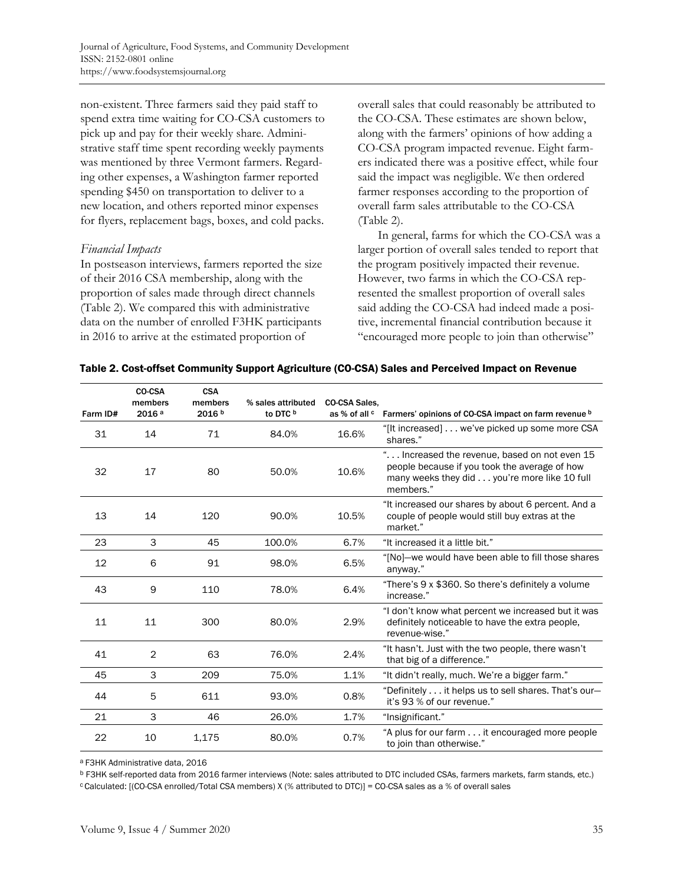non-existent. Three farmers said they paid staff to spend extra time waiting for CO-CSA customers to pick up and pay for their weekly share. Administrative staff time spent recording weekly payments was mentioned by three Vermont farmers. Regarding other expenses, a Washington farmer reported spending \$450 on transportation to deliver to a new location, and others reported minor expenses for flyers, replacement bags, boxes, and cold packs.

#### *Financial Impacts*

In postseason interviews, farmers reported the size of their 2016 CSA membership, along with the proportion of sales made through direct channels (Table 2). We compared this with administrative data on the number of enrolled F3HK participants in 2016 to arrive at the estimated proportion of

overall sales that could reasonably be attributed to the CO-CSA. These estimates are shown below, along with the farmers' opinions of how adding a CO-CSA program impacted revenue. Eight farmers indicated there was a positive effect, while four said the impact was negligible. We then ordered farmer responses according to the proportion of overall farm sales attributable to the CO-CSA (Table 2).

 In general, farms for which the CO-CSA was a larger portion of overall sales tended to report that the program positively impacted their revenue. However, two farms in which the CO-CSA represented the smallest proportion of overall sales said adding the CO-CSA had indeed made a positive, incremental financial contribution because it "encouraged more people to join than otherwise"

|  | Table 2. Cost-offset Community Support Agriculture (CO-CSA) Sales and Perceived Impact on Revenue |  |
|--|---------------------------------------------------------------------------------------------------|--|
|  |                                                                                                   |  |

| Farm ID# | CO-CSA<br>members<br>2016 <sup>a</sup> | <b>CSA</b><br>members<br>2016 b | % sales attributed<br>to DTC <sup>b</sup> | <b>CO-CSA Sales,</b><br>as % of all <sup>c</sup> | Farmers' opinions of CO-CSA impact on farm revenue b                                                                                                        |
|----------|----------------------------------------|---------------------------------|-------------------------------------------|--------------------------------------------------|-------------------------------------------------------------------------------------------------------------------------------------------------------------|
| 31       | 14                                     | 71                              | 84.0%                                     | 16.6%                                            | "[It increased] we've picked up some more CSA<br>shares."                                                                                                   |
| 32       | 17                                     | 80                              | 50.0%                                     | 10.6%                                            | " Increased the revenue, based on not even 15<br>people because if you took the average of how<br>many weeks they did you're more like 10 full<br>members." |
| 13       | 14                                     | 120                             | 90.0%                                     | 10.5%                                            | "It increased our shares by about 6 percent. And a<br>couple of people would still buy extras at the<br>market."                                            |
| 23       | 3                                      | 45                              | 100.0%                                    | 6.7%                                             | "It increased it a little bit."                                                                                                                             |
| 12       | 6                                      | 91                              | 98.0%                                     | 6.5%                                             | "[No]-we would have been able to fill those shares<br>anyway."                                                                                              |
| 43       | 9                                      | 110                             | 78.0%                                     | 6.4%                                             | "There's 9 x \$360. So there's definitely a volume<br>increase."                                                                                            |
| 11       | 11                                     | 300                             | 80.0%                                     | 2.9%                                             | "I don't know what percent we increased but it was<br>definitely noticeable to have the extra people,<br>revenue-wise."                                     |
| 41       | $\overline{2}$                         | 63                              | 76.0%                                     | 2.4%                                             | "It hasn't. Just with the two people, there wasn't<br>that big of a difference."                                                                            |
| 45       | 3                                      | 209                             | 75.0%                                     | 1.1%                                             | "It didn't really, much. We're a bigger farm."                                                                                                              |
| 44       | 5                                      | 611                             | 93.0%                                     | 0.8%                                             | "Definitely it helps us to sell shares. That's our-<br>it's 93 % of our revenue."                                                                           |
| 21       | 3                                      | 46                              | 26.0%                                     | 1.7%                                             | "Insignificant."                                                                                                                                            |
| 22       | 10                                     | 1,175                           | 80.0%                                     | 0.7%                                             | "A plus for our farm it encouraged more people<br>to join than otherwise."                                                                                  |

a F3HK Administrative data, 2016

b F3HK self-reported data from 2016 farmer interviews (Note: sales attributed to DTC included CSAs, farmers markets, farm stands, etc.)

c Calculated: [(CO-CSA enrolled/Total CSA members) X (% attributed to DTC)] = CO-CSA sales as a % of overall sales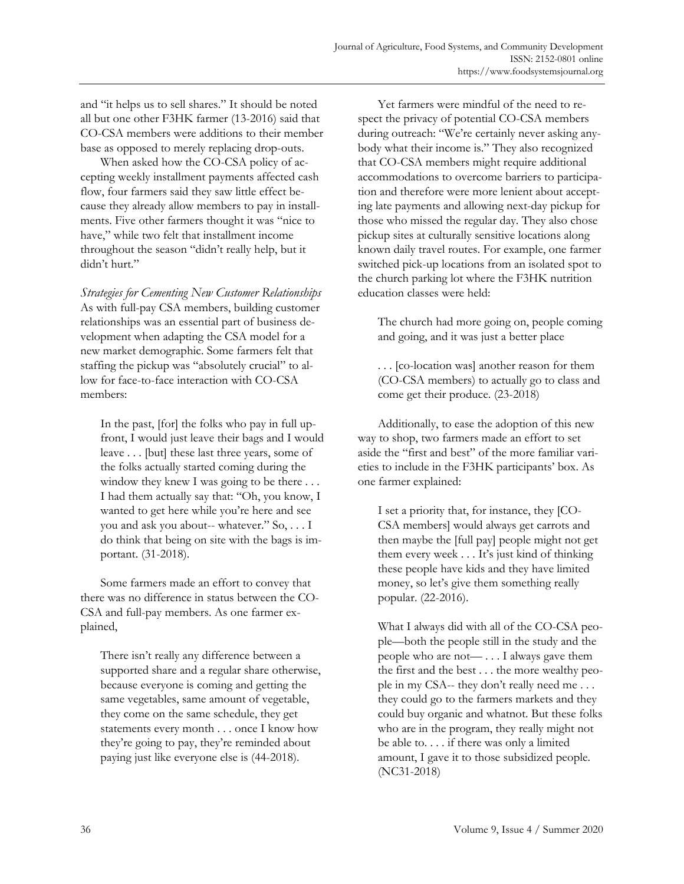and "it helps us to sell shares." It should be noted all but one other F3HK farmer (13-2016) said that CO-CSA members were additions to their member base as opposed to merely replacing drop-outs.

 When asked how the CO-CSA policy of accepting weekly installment payments affected cash flow, four farmers said they saw little effect because they already allow members to pay in installments. Five other farmers thought it was "nice to have," while two felt that installment income throughout the season "didn't really help, but it didn't hurt."

*Strategies for Cementing New Customer Relationships*  As with full-pay CSA members, building customer relationships was an essential part of business development when adapting the CSA model for a new market demographic. Some farmers felt that staffing the pickup was "absolutely crucial" to allow for face-to-face interaction with CO-CSA members:

In the past, [for] the folks who pay in full upfront, I would just leave their bags and I would leave . . . [but] these last three years, some of the folks actually started coming during the window they knew I was going to be there ... I had them actually say that: "Oh, you know, I wanted to get here while you're here and see you and ask you about-- whatever." So, . . . I do think that being on site with the bags is important. (31-2018).

 Some farmers made an effort to convey that there was no difference in status between the CO-CSA and full-pay members. As one farmer explained,

There isn't really any difference between a supported share and a regular share otherwise, because everyone is coming and getting the same vegetables, same amount of vegetable, they come on the same schedule, they get statements every month . . . once I know how they're going to pay, they're reminded about paying just like everyone else is (44-2018).

 Yet farmers were mindful of the need to respect the privacy of potential CO-CSA members during outreach: "We're certainly never asking anybody what their income is." They also recognized that CO-CSA members might require additional accommodations to overcome barriers to participation and therefore were more lenient about accepting late payments and allowing next-day pickup for those who missed the regular day. They also chose pickup sites at culturally sensitive locations along known daily travel routes. For example, one farmer switched pick-up locations from an isolated spot to the church parking lot where the F3HK nutrition education classes were held:

The church had more going on, people coming and going, and it was just a better place

. . . [co-location was] another reason for them (CO-CSA members) to actually go to class and come get their produce. (23-2018)

 Additionally, to ease the adoption of this new way to shop, two farmers made an effort to set aside the "first and best" of the more familiar varieties to include in the F3HK participants' box. As one farmer explained:

I set a priority that, for instance, they [CO-CSA members] would always get carrots and then maybe the [full pay] people might not get them every week . . . It's just kind of thinking these people have kids and they have limited money, so let's give them something really popular. (22-2016).

What I always did with all of the CO-CSA people—both the people still in the study and the people who are not— . . . I always gave them the first and the best . . . the more wealthy people in my CSA-- they don't really need me . . . they could go to the farmers markets and they could buy organic and whatnot. But these folks who are in the program, they really might not be able to. . . . if there was only a limited amount, I gave it to those subsidized people. (NC31-2018)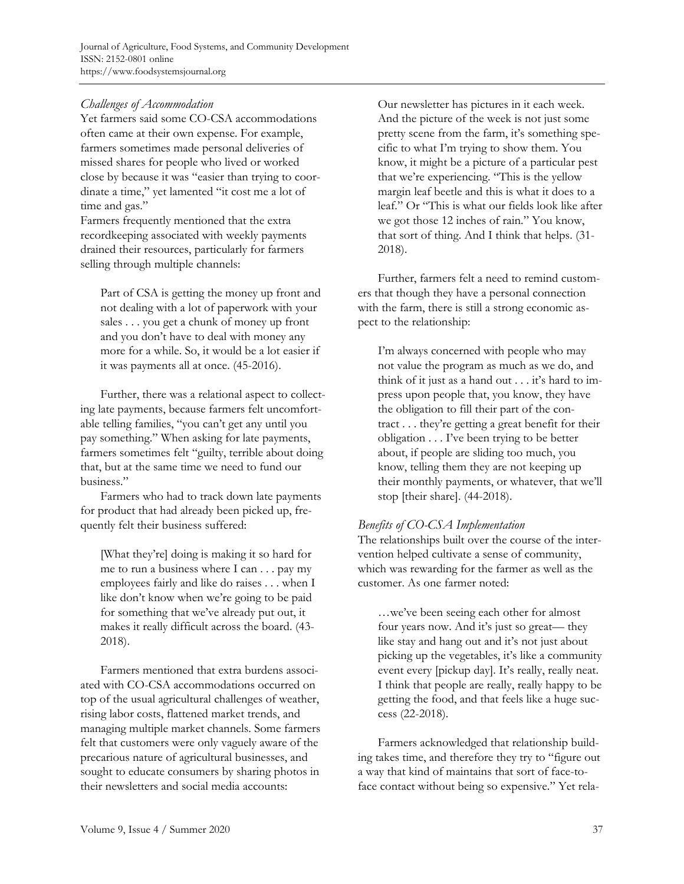# *Challenges of Accommodation*

Yet farmers said some CO-CSA accommodations often came at their own expense. For example, farmers sometimes made personal deliveries of missed shares for people who lived or worked close by because it was "easier than trying to coordinate a time," yet lamented "it cost me a lot of time and gas."

Farmers frequently mentioned that the extra recordkeeping associated with weekly payments drained their resources, particularly for farmers selling through multiple channels:

Part of CSA is getting the money up front and not dealing with a lot of paperwork with your sales . . . you get a chunk of money up front and you don't have to deal with money any more for a while. So, it would be a lot easier if it was payments all at once. (45-2016).

 Further, there was a relational aspect to collecting late payments, because farmers felt uncomfortable telling families, "you can't get any until you pay something." When asking for late payments, farmers sometimes felt "guilty, terrible about doing that, but at the same time we need to fund our business."

 Farmers who had to track down late payments for product that had already been picked up, frequently felt their business suffered:

[What they're] doing is making it so hard for me to run a business where I can . . . pay my employees fairly and like do raises . . . when I like don't know when we're going to be paid for something that we've already put out, it makes it really difficult across the board. (43- 2018).

 Farmers mentioned that extra burdens associated with CO-CSA accommodations occurred on top of the usual agricultural challenges of weather, rising labor costs, flattened market trends, and managing multiple market channels. Some farmers felt that customers were only vaguely aware of the precarious nature of agricultural businesses, and sought to educate consumers by sharing photos in their newsletters and social media accounts:

Our newsletter has pictures in it each week. And the picture of the week is not just some pretty scene from the farm, it's something specific to what I'm trying to show them. You know, it might be a picture of a particular pest that we're experiencing. "This is the yellow margin leaf beetle and this is what it does to a leaf." Or "This is what our fields look like after we got those 12 inches of rain." You know, that sort of thing. And I think that helps. (31- 2018).

 Further, farmers felt a need to remind customers that though they have a personal connection with the farm, there is still a strong economic aspect to the relationship:

I'm always concerned with people who may not value the program as much as we do, and think of it just as a hand out . . . it's hard to impress upon people that, you know, they have the obligation to fill their part of the contract . . . they're getting a great benefit for their obligation . . . I've been trying to be better about, if people are sliding too much, you know, telling them they are not keeping up their monthly payments, or whatever, that we'll stop [their share]. (44-2018).

## *Benefits of CO-CSA Implementation*

The relationships built over the course of the intervention helped cultivate a sense of community, which was rewarding for the farmer as well as the customer. As one farmer noted:

…we've been seeing each other for almost four years now. And it's just so great— they like stay and hang out and it's not just about picking up the vegetables, it's like a community event every [pickup day]. It's really, really neat. I think that people are really, really happy to be getting the food, and that feels like a huge success (22-2018).

 Farmers acknowledged that relationship building takes time, and therefore they try to "figure out a way that kind of maintains that sort of face-toface contact without being so expensive." Yet rela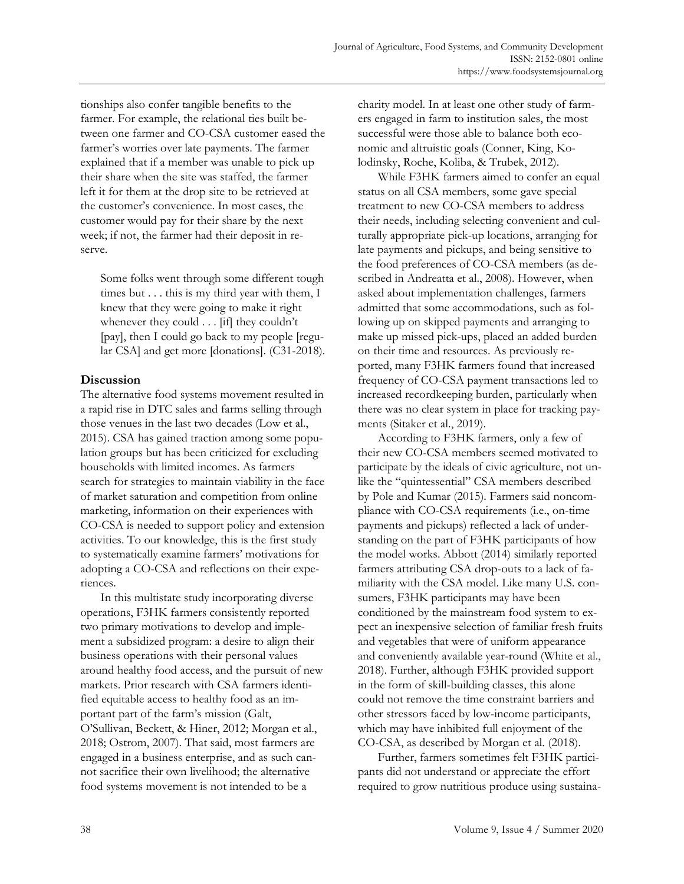tionships also confer tangible benefits to the farmer. For example, the relational ties built between one farmer and CO-CSA customer eased the farmer's worries over late payments. The farmer explained that if a member was unable to pick up their share when the site was staffed, the farmer left it for them at the drop site to be retrieved at the customer's convenience. In most cases, the customer would pay for their share by the next week; if not, the farmer had their deposit in reserve.

Some folks went through some different tough times but . . . this is my third year with them, I knew that they were going to make it right whenever they could . . . [if] they couldn't [pay], then I could go back to my people [regular CSA] and get more [donations]. (C31-2018).

# **Discussion**

The alternative food systems movement resulted in a rapid rise in DTC sales and farms selling through those venues in the last two decades (Low et al., 2015). CSA has gained traction among some population groups but has been criticized for excluding households with limited incomes. As farmers search for strategies to maintain viability in the face of market saturation and competition from online marketing, information on their experiences with CO-CSA is needed to support policy and extension activities. To our knowledge, this is the first study to systematically examine farmers' motivations for adopting a CO-CSA and reflections on their experiences.

 In this multistate study incorporating diverse operations, F3HK farmers consistently reported two primary motivations to develop and implement a subsidized program: a desire to align their business operations with their personal values around healthy food access, and the pursuit of new markets. Prior research with CSA farmers identified equitable access to healthy food as an important part of the farm's mission (Galt, O'Sullivan, Beckett, & Hiner, 2012; Morgan et al., 2018; Ostrom, 2007). That said, most farmers are engaged in a business enterprise, and as such cannot sacrifice their own livelihood; the alternative food systems movement is not intended to be a

charity model. In at least one other study of farmers engaged in farm to institution sales, the most successful were those able to balance both economic and altruistic goals (Conner, King, Kolodinsky, Roche, Koliba, & Trubek, 2012).

 While F3HK farmers aimed to confer an equal status on all CSA members, some gave special treatment to new CO-CSA members to address their needs, including selecting convenient and culturally appropriate pick-up locations, arranging for late payments and pickups, and being sensitive to the food preferences of CO-CSA members (as described in Andreatta et al., 2008). However, when asked about implementation challenges, farmers admitted that some accommodations, such as following up on skipped payments and arranging to make up missed pick-ups, placed an added burden on their time and resources. As previously reported, many F3HK farmers found that increased frequency of CO-CSA payment transactions led to increased recordkeeping burden, particularly when there was no clear system in place for tracking payments (Sitaker et al., 2019).

 According to F3HK farmers, only a few of their new CO-CSA members seemed motivated to participate by the ideals of civic agriculture, not unlike the "quintessential" CSA members described by Pole and Kumar (2015). Farmers said noncompliance with CO-CSA requirements (i.e., on-time payments and pickups) reflected a lack of understanding on the part of F3HK participants of how the model works. Abbott (2014) similarly reported farmers attributing CSA drop-outs to a lack of familiarity with the CSA model. Like many U.S. consumers, F3HK participants may have been conditioned by the mainstream food system to expect an inexpensive selection of familiar fresh fruits and vegetables that were of uniform appearance and conveniently available year-round (White et al., 2018). Further, although F3HK provided support in the form of skill-building classes, this alone could not remove the time constraint barriers and other stressors faced by low-income participants, which may have inhibited full enjoyment of the CO-CSA, as described by Morgan et al. (2018).

 Further, farmers sometimes felt F3HK participants did not understand or appreciate the effort required to grow nutritious produce using sustaina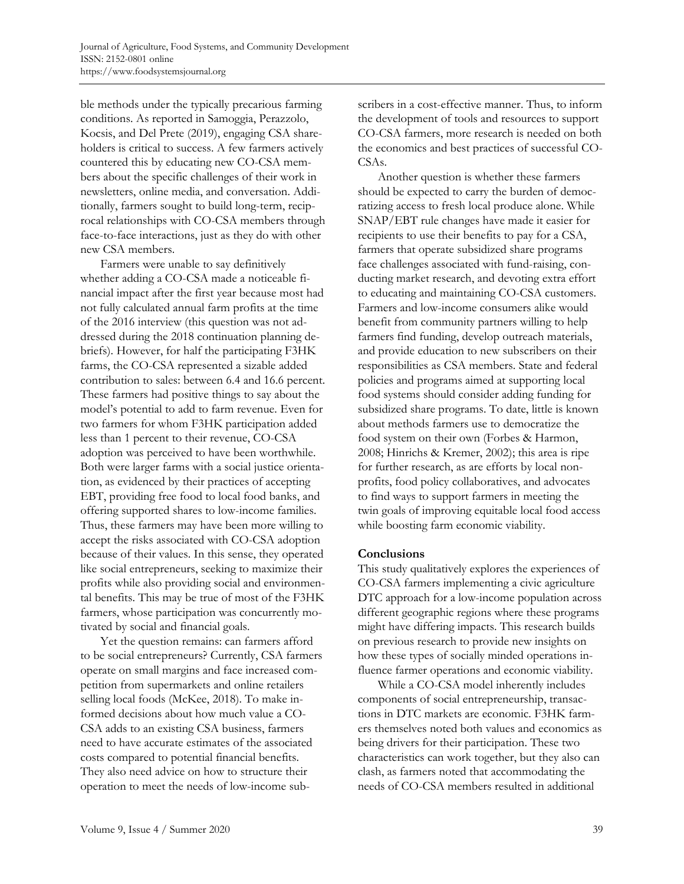ble methods under the typically precarious farming conditions. As reported in Samoggia, Perazzolo, Kocsis, and Del Prete (2019), engaging CSA shareholders is critical to success. A few farmers actively countered this by educating new CO-CSA members about the specific challenges of their work in newsletters, online media, and conversation. Additionally, farmers sought to build long-term, reciprocal relationships with CO-CSA members through face-to-face interactions, just as they do with other new CSA members.

 Farmers were unable to say definitively whether adding a CO-CSA made a noticeable financial impact after the first year because most had not fully calculated annual farm profits at the time of the 2016 interview (this question was not addressed during the 2018 continuation planning debriefs). However, for half the participating F3HK farms, the CO-CSA represented a sizable added contribution to sales: between 6.4 and 16.6 percent. These farmers had positive things to say about the model's potential to add to farm revenue. Even for two farmers for whom F3HK participation added less than 1 percent to their revenue, CO-CSA adoption was perceived to have been worthwhile. Both were larger farms with a social justice orientation, as evidenced by their practices of accepting EBT, providing free food to local food banks, and offering supported shares to low-income families. Thus, these farmers may have been more willing to accept the risks associated with CO-CSA adoption because of their values. In this sense, they operated like social entrepreneurs, seeking to maximize their profits while also providing social and environmental benefits. This may be true of most of the F3HK farmers, whose participation was concurrently motivated by social and financial goals.

 Yet the question remains: can farmers afford to be social entrepreneurs? Currently, CSA farmers operate on small margins and face increased competition from supermarkets and online retailers selling local foods (McKee, 2018). To make informed decisions about how much value a CO-CSA adds to an existing CSA business, farmers need to have accurate estimates of the associated costs compared to potential financial benefits. They also need advice on how to structure their operation to meet the needs of low-income subscribers in a cost-effective manner. Thus, to inform the development of tools and resources to support CO-CSA farmers, more research is needed on both the economics and best practices of successful CO-CSAs.

 Another question is whether these farmers should be expected to carry the burden of democratizing access to fresh local produce alone. While SNAP/EBT rule changes have made it easier for recipients to use their benefits to pay for a CSA, farmers that operate subsidized share programs face challenges associated with fund-raising, conducting market research, and devoting extra effort to educating and maintaining CO-CSA customers. Farmers and low-income consumers alike would benefit from community partners willing to help farmers find funding, develop outreach materials, and provide education to new subscribers on their responsibilities as CSA members. State and federal policies and programs aimed at supporting local food systems should consider adding funding for subsidized share programs. To date, little is known about methods farmers use to democratize the food system on their own (Forbes & Harmon, 2008; Hinrichs & Kremer, 2002); this area is ripe for further research, as are efforts by local nonprofits, food policy collaboratives, and advocates to find ways to support farmers in meeting the twin goals of improving equitable local food access while boosting farm economic viability.

## **Conclusions**

This study qualitatively explores the experiences of CO-CSA farmers implementing a civic agriculture DTC approach for a low-income population across different geographic regions where these programs might have differing impacts. This research builds on previous research to provide new insights on how these types of socially minded operations influence farmer operations and economic viability.

 While a CO-CSA model inherently includes components of social entrepreneurship, transactions in DTC markets are economic. F3HK farmers themselves noted both values and economics as being drivers for their participation. These two characteristics can work together, but they also can clash, as farmers noted that accommodating the needs of CO-CSA members resulted in additional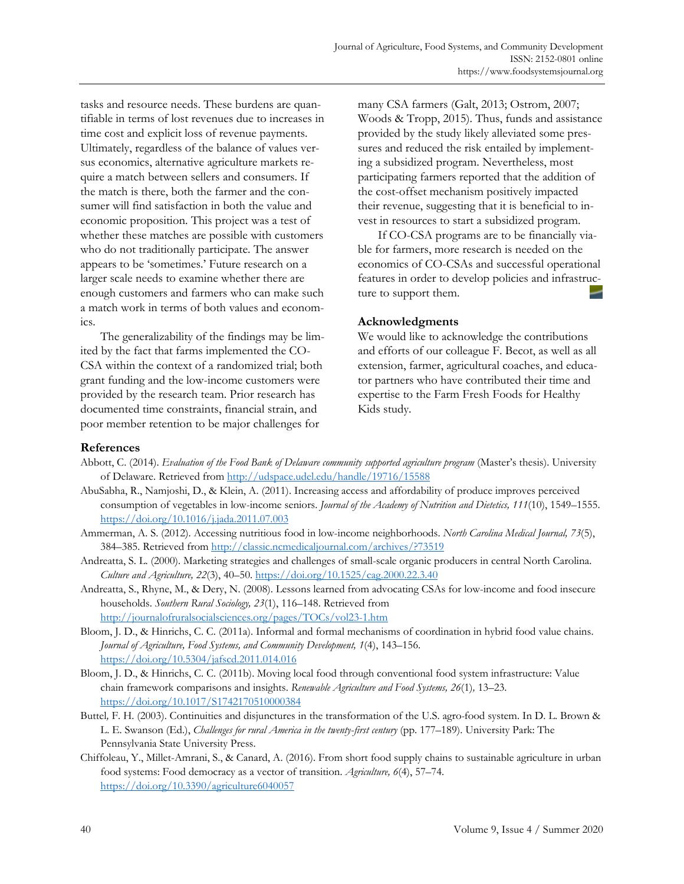tasks and resource needs. These burdens are quantifiable in terms of lost revenues due to increases in time cost and explicit loss of revenue payments. Ultimately, regardless of the balance of values versus economics, alternative agriculture markets require a match between sellers and consumers. If the match is there, both the farmer and the consumer will find satisfaction in both the value and economic proposition. This project was a test of whether these matches are possible with customers who do not traditionally participate. The answer appears to be 'sometimes.' Future research on a larger scale needs to examine whether there are enough customers and farmers who can make such a match work in terms of both values and economics.

 The generalizability of the findings may be limited by the fact that farms implemented the CO-CSA within the context of a randomized trial; both grant funding and the low-income customers were provided by the research team. Prior research has documented time constraints, financial strain, and poor member retention to be major challenges for

many CSA farmers (Galt, 2013; Ostrom, 2007; Woods & Tropp, 2015). Thus, funds and assistance provided by the study likely alleviated some pressures and reduced the risk entailed by implementing a subsidized program. Nevertheless, most participating farmers reported that the addition of the cost-offset mechanism positively impacted their revenue, suggesting that it is beneficial to invest in resources to start a subsidized program.

 If CO-CSA programs are to be financially viable for farmers, more research is needed on the economics of CO-CSAs and successful operational features in order to develop policies and infrastructure to support them.

#### **Acknowledgments**

We would like to acknowledge the contributions and efforts of our colleague F. Becot, as well as all extension, farmer, agricultural coaches, and educator partners who have contributed their time and expertise to the Farm Fresh Foods for Healthy Kids study.

#### **References**

- Abbott, C. (2014). *Evaluation of the Food Bank of Delaware community supported agriculture program* (Master's thesis). University of Delaware. Retrieved from http://udspace.udel.edu/handle/19716/15588
- AbuSabha, R., Namjoshi, D., & Klein, A. (2011). Increasing access and affordability of produce improves perceived consumption of vegetables in low-income seniors. *Journal of the Academy of Nutrition and Dietetics, 111*(10), 1549–1555. https://doi.org/10.1016/j.jada.2011.07.003
- Ammerman, A. S. (2012). Accessing nutritious food in low-income neighborhoods. *North Carolina Medical Journal, 73*(5), 384–385. Retrieved from http://classic.ncmedicaljournal.com/archives/?73519
- Andreatta, S. L. (2000). Marketing strategies and challenges of small-scale organic producers in central North Carolina. *Culture and Agriculture, 22*(3), 40–50. https://doi.org/10.1525/cag.2000.22.3.40
- Andreatta, S., Rhyne, M., & Dery, N. (2008). Lessons learned from advocating CSAs for low-income and food insecure households. *Southern Rural Sociology, 23*(1), 116–148. Retrieved from http://journalofruralsocialsciences.org/pages/TOCs/vol23-1.htm
- Bloom, J. D., & Hinrichs, C. C. (2011a). Informal and formal mechanisms of coordination in hybrid food value chains. *Journal of Agriculture, Food Systems, and Community Development, 1*(4), 143–156. https://doi.org/10.5304/jafscd.2011.014.016
- Bloom, J. D., & Hinrichs, C. C. (2011b). Moving local food through conventional food system infrastructure: Value chain framework comparisons and insights. *Renewable Agriculture and Food Systems, 26*(1)*,* 13–23. https://doi.org/10.1017/S1742170510000384
- Buttel*,* F. H. (2003). Continuities and disjunctures in the transformation of the U.S. agro*-*food system. In D. L. Brown & L. E. Swanson (Ed.), *Challenges for rural America in the twenty*-*first century* (pp. 177–189). University Park: The Pennsylvania State University Press.
- Chiffoleau, Y., Millet-Amrani, S., & Canard, A. (2016). From short food supply chains to sustainable agriculture in urban food systems: Food democracy as a vector of transition. *Agriculture, 6*(4), 57–74. https://doi.org/10.3390/agriculture6040057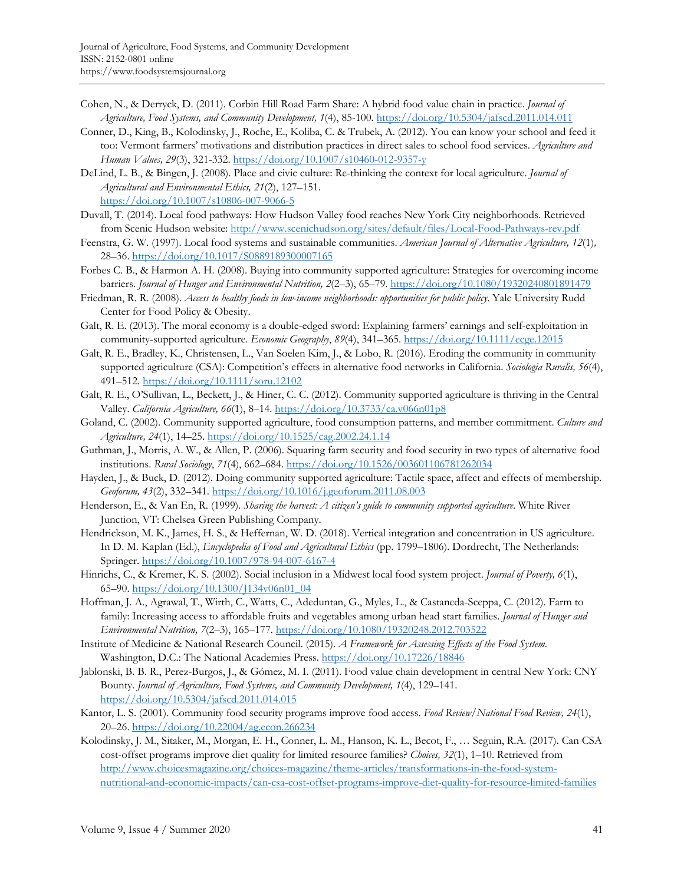- Cohen, N., & Derryck, D. (2011). Corbin Hill Road Farm Share: A hybrid food value chain in practice. *Journal of Agriculture, Food Systems, and Community Development, 1*(4), 85-100. https://doi.org/10.5304/jafscd.2011.014.011
- Conner, D., King, B., Kolodinsky, J., Roche, E., Koliba, C. & Trubek, A. (2012). You can know your school and feed it too: Vermont farmers' motivations and distribution practices in direct sales to school food services. *Agriculture and Human Values, 29*(3), 321-332. https://doi.org/10.1007/s10460-012-9357-y
- DeLind, L. B., & Bingen, J. (2008). Place and civic culture: Re-thinking the context for local agriculture. *Journal of Agricultural and Environmental Ethics, 21*(2), 127–151. https://doi.org/10.1007/s10806-007-9066-5
- Duvall, T. (2014). Local food pathways: How Hudson Valley food reaches New York City neighborhoods. Retrieved from Scenic Hudson website: http://www.scenichudson.org/sites/default/files/Local-Food-Pathways-rev.pdf
- Feenstra, G. W. (1997). Local food systems and sustainable communities. *American Journal of Alternative Agriculture, 12*(1)*,* 28–36. https://doi.org/10.1017/S0889189300007165
- Forbes C. B., & Harmon A. H. (2008). Buying into community supported agriculture: Strategies for overcoming income barriers. *Journal of Hunger and Environmental Nutrition, 2*(2–3), 65–79. https://doi.org/10.1080/19320240801891479
- Friedman, R. R. (2008). *Access to healthy foods in low-income neighborhoods: opportunities for public policy*. Yale University Rudd Center for Food Policy & Obesity.
- Galt, R. E. (2013). The moral economy is a double-edged sword: Explaining farmers' earnings and self-exploitation in community-supported agriculture. *Economic Geography*, *89*(4), 341–365. https://doi.org/10.1111/ecge.12015
- Galt, R. E., Bradley, K., Christensen, L., Van Soelen Kim, J., & Lobo, R. (2016). Eroding the community in community supported agriculture (CSA): Competition's effects in alternative food networks in California. *Sociologia Ruralis, 56*(4), 491–512. https://doi.org/10.1111/soru.12102
- Galt, R. E., O'Sullivan, L., Beckett, J., & Hiner, C. C. (2012). Community supported agriculture is thriving in the Central Valley. *California Agriculture, 66*(1), 8–14. https://doi.org/10.3733/ca.v066n01p8
- Goland, C. (2002). Community supported agriculture, food consumption patterns, and member commitment. *Culture and Agriculture, 24*(1), 14–25. https://doi.org/10.1525/cag.2002.24.1.14
- Guthman, J., Morris, A. W., & Allen, P. (2006). Squaring farm security and food security in two types of alternative food institutions. *Rural Sociology*, *71*(4), 662–684. https://doi.org/10.1526/003601106781262034
- Hayden, J., & Buck, D. (2012). Doing community supported agriculture: Tactile space, affect and effects of membership. *Geoforum, 43*(2), 332–341. https://doi.org/10.1016/j.geoforum.2011.08.003
- Henderson, E., & Van En, R. (1999). *Sharing the harvest: A citizen's guide to community supported agriculture*. White River Junction, VT: Chelsea Green Publishing Company.
- Hendrickson, M. K., James, H. S., & Heffernan, W. D. (2018). Vertical integration and concentration in US agriculture. In D. M. Kaplan (Ed.), *Encyclopedia of Food and Agricultural Ethics* (pp. 1799–1806). Dordrecht, The Netherlands: Springer. https://doi.org/10.1007/978-94-007-6167-4
- Hinrichs, C., & Kremer, K. S. (2002). Social inclusion in a Midwest local food system project. *Journal of Poverty, 6*(1), 65–90. https://doi.org/10.1300/J134v06n01\_04
- Hoffman, J. A., Agrawal, T., Wirth, C., Watts, C., Adeduntan, G., Myles, L., & Castaneda-Sceppa, C. (2012). Farm to family: Increasing access to affordable fruits and vegetables among urban head start families. *Journal of Hunger and Environmental Nutrition, 7*(2–3), 165–177. https://doi.org/10.1080/19320248.2012.703522
- Institute of Medicine & National Research Council. (2015). *A Framework for Assessing Effects of the Food System*. Washington, D.C.: The National Academies Press. https://doi.org/10.17226/18846
- Jablonski, B. B. R., Perez-Burgos, J., & Gómez, M. I. (2011). Food value chain development in central New York: CNY Bounty. *Journal of Agriculture, Food Systems, and Community Development, 1*(4), 129–141. https://doi.org/10.5304/jafscd.2011.014.015
- Kantor, L. S. (2001). Community food security programs improve food access. *Food Review/National Food Review, 24*(1), 20–26. https://doi.org/10.22004/ag.econ.266234
- Kolodinsky, J. M., Sitaker, M., Morgan, E. H., Conner, L. M., Hanson, K. L., Becot, F., … Seguin, R.A. (2017). Can CSA cost-offset programs improve diet quality for limited resource families? *Choices, 32*(1), 1–10. Retrieved from http://www.choicesmagazine.org/choices-magazine/theme-articles/transformations-in-the-food-system[nutritional-and-economic-impacts/can-csa-cost-offset-programs-improve-diet-quality-for-resource-limited-families](http://www.choicesmagazine.org/choices-magazine/theme-articles/transformations-in-the-food-system-nutritional-and-economic-impacts/can-csa-cost-offset-programs-improve-diet-quality-for-resource-limited-families)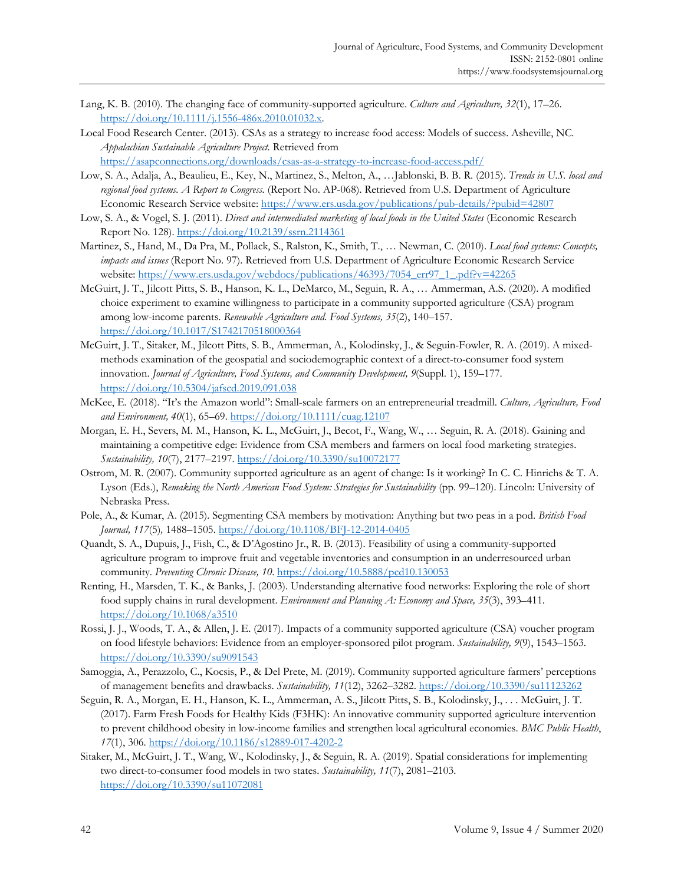- Lang, K. B. (2010). The changing face of community-supported agriculture. *Culture and Agriculture, 32*(1), 17–26. https://doi.org/10.1111/j.1556-486x.2010.01032.x.
- Local Food Research Center. (2013). CSAs as a strategy to increase food access: Models of success. Asheville, NC*. Appalachian Sustainable Agriculture Project.* Retrieved from https://asapconnections.org/downloads/csas-as-a-strategy-to-increase-food-access.pdf/
- Low, S. A., Adalja, A., Beaulieu, E., Key, N., Martinez, S., Melton, A., …Jablonski, B. B. R. (2015). *Trends in U.S. local and regional food systems. A Report to Congress.* (Report No. AP-068). Retrieved from U.S. Department of Agriculture Economic Research Service website: https://www.ers.usda.gov/publications/pub-details/?pubid=42807
- Low, S. A., & Vogel, S. J. (2011). *Direct and intermediated marketing of local foods in the United States* (Economic Research Report No. 128). https://doi.org/10.2139/ssrn.2114361
- Martinez, S., Hand, M., Da Pra, M., Pollack, S., Ralston, K., Smith, T., … Newman, C. (2010). *Local food systems: Concepts, impacts and issues* (Report No. 97). Retrieved from U.S. Department of Agriculture Economic Research Service website: https://www.ers.usda.gov/webdocs/publications/46393/7054\_err97\_1\_.pdf?v=42265
- McGuirt, J. T., Jilcott Pitts, S. B., Hanson, K. L., DeMarco, M., Seguin, R. A., … Ammerman, A.S. (2020). A modified choice experiment to examine willingness to participate in a community supported agriculture (CSA) program among low-income parents. *Renewable Agriculture and. Food Systems, 35*(2), 140–157. https://doi.org/10.1017/S1742170518000364
- McGuirt, J. T., Sitaker, M., Jilcott Pitts, S. B., Ammerman, A., Kolodinsky, J., & Seguin-Fowler, R. A. (2019). A mixedmethods examination of the geospatial and sociodemographic context of a direct-to-consumer food system innovation. *Journal of Agriculture, Food Systems, and Community Development, 9*(Suppl. 1), 159–177. https://doi.org/10.5304/jafscd.2019.091.038
- McKee, E. (2018). "It's the Amazon world": Small-scale farmers on an entrepreneurial treadmill. *Culture, Agriculture, Food and Environment, 40*(1), 65–69. https://doi.org/10.1111/cuag.12107
- Morgan, E. H., Severs, M. M., Hanson, K. L., McGuirt, J., Becot, F., Wang, W., … Seguin, R. A. (2018). Gaining and maintaining a competitive edge: Evidence from CSA members and farmers on local food marketing strategies. *Sustainability, 10*(7), 2177–2197. https://doi.org/10.3390/su10072177
- Ostrom, M. R. (2007). Community supported agriculture as an agent of change: Is it working? In C. C. Hinrichs & T. A. Lyson (Eds.), *Remaking the North American Food System: Strategies for Sustainability* (pp. 99–120). Lincoln: University of Nebraska Press.
- Pole, A., & Kumar, A. (2015). Segmenting CSA members by motivation: Anything but two peas in a pod. *British Food Journal, 117*(5)*,* 1488–1505. https://doi.org/10.1108/BFJ-12-2014-0405
- Quandt, S. A., Dupuis, J., Fish, C., & D'Agostino Jr., R. B. (2013). Feasibility of using a community-supported agriculture program to improve fruit and vegetable inventories and consumption in an underresourced urban community. *Preventing Chronic Disease, 10*. https://doi.org/10.5888/pcd10.130053
- Renting, H., Marsden, T. K., & Banks, J. (2003). Understanding alternative food networks: Exploring the role of short food supply chains in rural development. *Environment and Planning A: Economy and Space, 35*(3), 393–411. https://doi.org/10.1068/a3510
- Rossi, J. J., Woods, T. A., & Allen, J. E. (2017). Impacts of a community supported agriculture (CSA) voucher program on food lifestyle behaviors: Evidence from an employer-sponsored pilot program. *Sustainability, 9*(9), 1543–1563. https://doi.org/10.3390/su9091543
- Samoggia, A., Perazzolo, C., Kocsis, P., & Del Prete, M. (2019). Community supported agriculture farmers' perceptions of management benefits and drawbacks. *Sustainability, 11*(12), 3262–3282. https://doi.org/10.3390/su11123262
- Seguin, R. A., Morgan, E. H., Hanson, K. L., Ammerman, A. S., Jilcott Pitts, S. B., Kolodinsky, J., . . . McGuirt, J. T. (2017). Farm Fresh Foods for Healthy Kids (F3HK): An innovative community supported agriculture intervention to prevent childhood obesity in low-income families and strengthen local agricultural economies. *BMC Public Health*, *17*(1), 306. https://doi.org/10.1186/s12889-017-4202-2
- Sitaker, M., McGuirt, J. T., Wang, W., Kolodinsky, J., & Seguin, R. A. (2019). Spatial considerations for implementing two direct-to-consumer food models in two states. *Sustainability, 11*(7), 2081–2103. https://doi.org/10.3390/su11072081